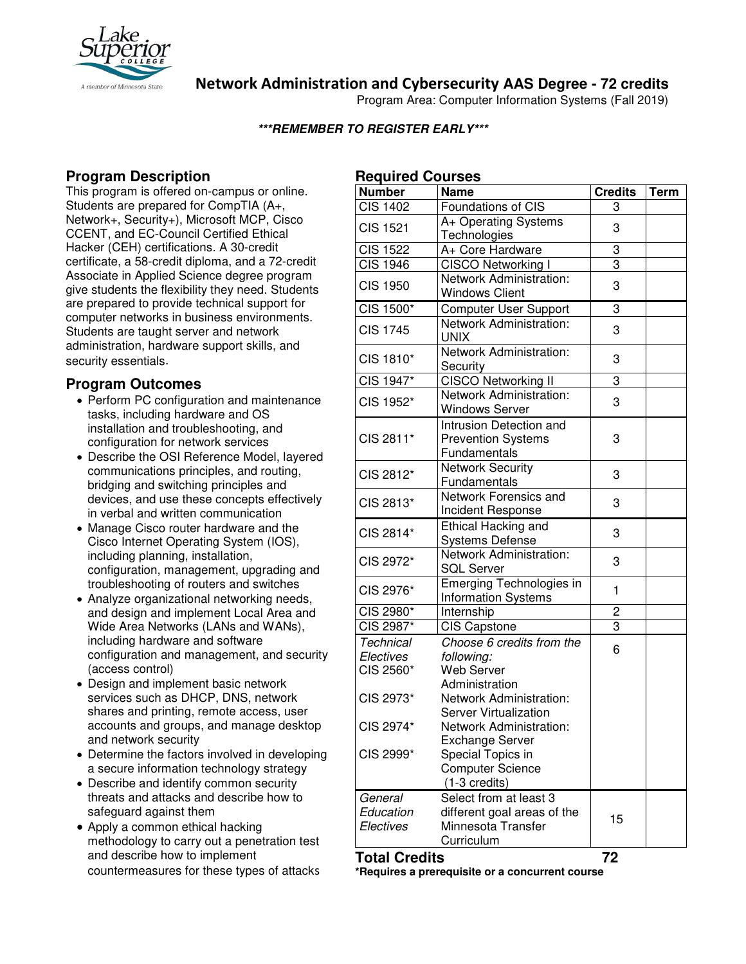

**Network Administration and Cybersecurity AAS Degree - 72 credits**

Program Area: Computer Information Systems (Fall 2019)

#### **\*\*\*REMEMBER TO REGISTER EARLY\*\*\***

# **Program Description**

This program is offered on-campus or online. Students are prepared for CompTIA (A+, Network+, Security+), Microsoft MCP, Cisco CCENT, and EC-Council Certified Ethical Hacker (CEH) certifications. A 30-credit certificate, a 58-credit diploma, and a 72-credit Associate in Applied Science degree program give students the flexibility they need. Students are prepared to provide technical support for computer networks in business environments. Students are taught server and network administration, hardware support skills, and security essentials.

## **Program Outcomes**

- Perform PC configuration and maintenance tasks, including hardware and OS installation and troubleshooting, and configuration for network services
- Describe the OSI Reference Model, layered communications principles, and routing, bridging and switching principles and devices, and use these concepts effectively in verbal and written communication
- Manage Cisco router hardware and the Cisco Internet Operating System (IOS), including planning, installation, configuration, management, upgrading and troubleshooting of routers and switches
- Analyze organizational networking needs, and design and implement Local Area and Wide Area Networks (LANs and WANs), including hardware and software configuration and management, and security (access control)
- Design and implement basic network services such as DHCP, DNS, network shares and printing, remote access, user accounts and groups, and manage desktop and network security
- Determine the factors involved in developing a secure information technology strategy
- Describe and identify common security threats and attacks and describe how to safeguard against them
- Apply a common ethical hacking methodology to carry out a penetration test and describe how to implement countermeasures for these types of attacks

# **Required Courses**

| ncyuncu oouraca       |                              |                |      |
|-----------------------|------------------------------|----------------|------|
| <b>Number</b>         | <b>Name</b>                  | <b>Credits</b> | Term |
| <b>CIS 1402</b>       | Foundations of CIS           | 3              |      |
| <b>CIS 1521</b>       | A+ Operating Systems         | 3              |      |
|                       | Technologies                 |                |      |
| <b>CIS 1522</b>       | A+ Core Hardware             | 3              |      |
| $\overline{CIS}$ 1946 | CISCO Networking I           | 3              |      |
|                       | Network Administration:      |                |      |
| <b>CIS 1950</b>       | <b>Windows Client</b>        | 3              |      |
| CIS 1500*             | <b>Computer User Support</b> | 3              |      |
|                       | Network Administration:      |                |      |
| CIS 1745              | <b>UNIX</b>                  | 3              |      |
|                       | Network Administration:      |                |      |
| CIS 1810*             | Security                     | 3              |      |
| CIS 1947*             | <b>CISCO Networking II</b>   | 3              |      |
|                       | Network Administration:      |                |      |
| CIS 1952*             | <b>Windows Server</b>        | 3              |      |
|                       | Intrusion Detection and      |                |      |
| CIS 2811*             | <b>Prevention Systems</b>    | 3              |      |
|                       | Fundamentals                 |                |      |
| CIS 2812*             | <b>Network Security</b>      |                |      |
|                       | Fundamentals                 | 3              |      |
| CIS 2813*             | Network Forensics and        | 3              |      |
|                       | Incident Response            |                |      |
| CIS 2814*             | <b>Ethical Hacking and</b>   | 3              |      |
|                       | <b>Systems Defense</b>       |                |      |
|                       | Network Administration:      |                |      |
| CIS 2972*             | <b>SQL Server</b>            | 3              |      |
|                       | Emerging Technologies in     |                |      |
| CIS 2976*             | <b>Information Systems</b>   | 1              |      |
| CIS 2980*             | Internship                   | 2              |      |
| CIS 2987*             | <b>CIS Capstone</b>          | 3              |      |
| Technical             | Choose 6 credits from the    |                |      |
| Electives             | following:                   | 6              |      |
| CIS 2560*             | <b>Web Server</b>            |                |      |
|                       | Administration               |                |      |
| CIS 2973*             | Network Administration:      |                |      |
|                       | Server Virtualization        |                |      |
| CIS 2974*             | Network Administration:      |                |      |
|                       | <b>Exchange Server</b>       |                |      |
| CIS 2999*             | Special Topics in            |                |      |
|                       | <b>Computer Science</b>      |                |      |
|                       | $(1-3$ credits)              |                |      |
| General               | Select from at least 3       |                |      |
| Education             | different goal areas of the  |                |      |
| Electives             | Minnesota Transfer           | 15             |      |
|                       | Curriculum                   |                |      |
|                       |                              |                |      |

#### **Total Credits 72**

**\*Requires a prerequisite or a concurrent course**